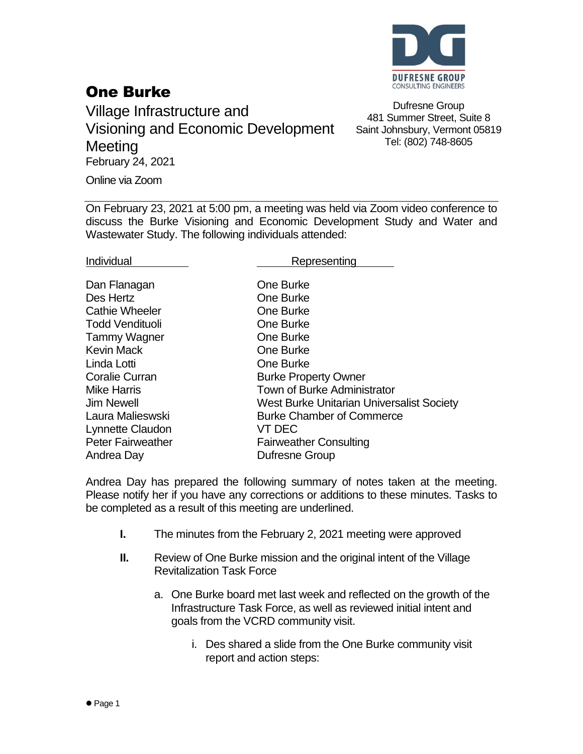

## One Burke

Village Infrastructure and Visioning and Economic Development **Meeting** February 24, 2021

Dufresne Group 481 Summer Street, Suite 8 Saint Johnsbury, Vermont 05819 Tel: (802) 748-8605

Online via Zoom

On February 23, 2021 at 5:00 pm, a meeting was held via Zoom video conference to discuss the Burke Visioning and Economic Development Study and Water and Wastewater Study. The following individuals attended:

Individual **Representing** 

| One Burke                                        |
|--------------------------------------------------|
| One Burke                                        |
| One Burke                                        |
| <b>One Burke</b>                                 |
| One Burke                                        |
| <b>One Burke</b>                                 |
| One Burke                                        |
| <b>Burke Property Owner</b>                      |
| <b>Town of Burke Administrator</b>               |
| <b>West Burke Unitarian Universalist Society</b> |
| <b>Burke Chamber of Commerce</b>                 |
| VT DEC                                           |
| <b>Fairweather Consulting</b>                    |
| Dufresne Group                                   |
|                                                  |

Andrea Day has prepared the following summary of notes taken at the meeting. Please notify her if you have any corrections or additions to these minutes. Tasks to be completed as a result of this meeting are underlined.

- **I.** The minutes from the February 2, 2021 meeting were approved
- **II.** Review of One Burke mission and the original intent of the Village Revitalization Task Force
	- a. One Burke board met last week and reflected on the growth of the Infrastructure Task Force, as well as reviewed initial intent and goals from the VCRD community visit.
		- i. Des shared a slide from the One Burke community visit report and action steps: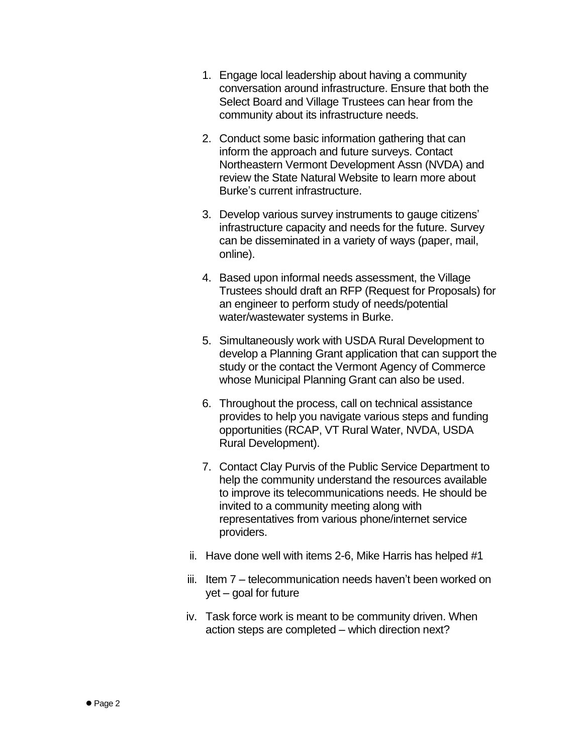- 1. Engage local leadership about having a community conversation around infrastructure. Ensure that both the Select Board and Village Trustees can hear from the community about its infrastructure needs.
- 2. Conduct some basic information gathering that can inform the approach and future surveys. Contact Northeastern Vermont Development Assn (NVDA) and review the State Natural Website to learn more about Burke's current infrastructure.
- 3. Develop various survey instruments to gauge citizens' infrastructure capacity and needs for the future. Survey can be disseminated in a variety of ways (paper, mail, online).
- 4. Based upon informal needs assessment, the Village Trustees should draft an RFP (Request for Proposals) for an engineer to perform study of needs/potential water/wastewater systems in Burke.
- 5. Simultaneously work with USDA Rural Development to develop a Planning Grant application that can support the study or the contact the Vermont Agency of Commerce whose Municipal Planning Grant can also be used.
- 6. Throughout the process, call on technical assistance provides to help you navigate various steps and funding opportunities (RCAP, VT Rural Water, NVDA, USDA Rural Development).
- 7. Contact Clay Purvis of the Public Service Department to help the community understand the resources available to improve its telecommunications needs. He should be invited to a community meeting along with representatives from various phone/internet service providers.
- ii. Have done well with items 2-6, Mike Harris has helped #1
- iii. Item 7 telecommunication needs haven't been worked on yet – goal for future
- iv. Task force work is meant to be community driven. When action steps are completed – which direction next?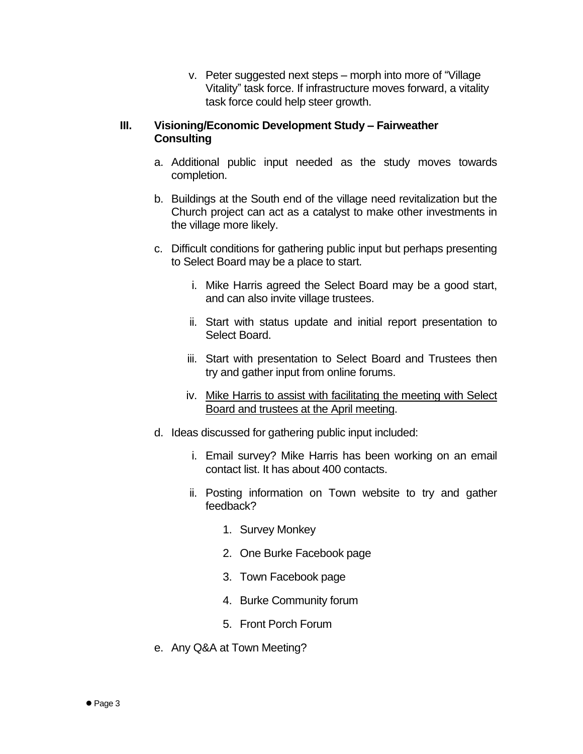v. Peter suggested next steps – morph into more of "Village Vitality" task force. If infrastructure moves forward, a vitality task force could help steer growth.

## **III. Visioning/Economic Development Study – Fairweather Consulting**

- a. Additional public input needed as the study moves towards completion.
- b. Buildings at the South end of the village need revitalization but the Church project can act as a catalyst to make other investments in the village more likely.
- c. Difficult conditions for gathering public input but perhaps presenting to Select Board may be a place to start.
	- i. Mike Harris agreed the Select Board may be a good start, and can also invite village trustees.
	- ii. Start with status update and initial report presentation to Select Board.
	- iii. Start with presentation to Select Board and Trustees then try and gather input from online forums.
	- iv. Mike Harris to assist with facilitating the meeting with Select Board and trustees at the April meeting.
- d. Ideas discussed for gathering public input included:
	- i. Email survey? Mike Harris has been working on an email contact list. It has about 400 contacts.
	- ii. Posting information on Town website to try and gather feedback?
		- 1. Survey Monkey
		- 2. One Burke Facebook page
		- 3. Town Facebook page
		- 4. Burke Community forum
		- 5. Front Porch Forum
- e. Any Q&A at Town Meeting?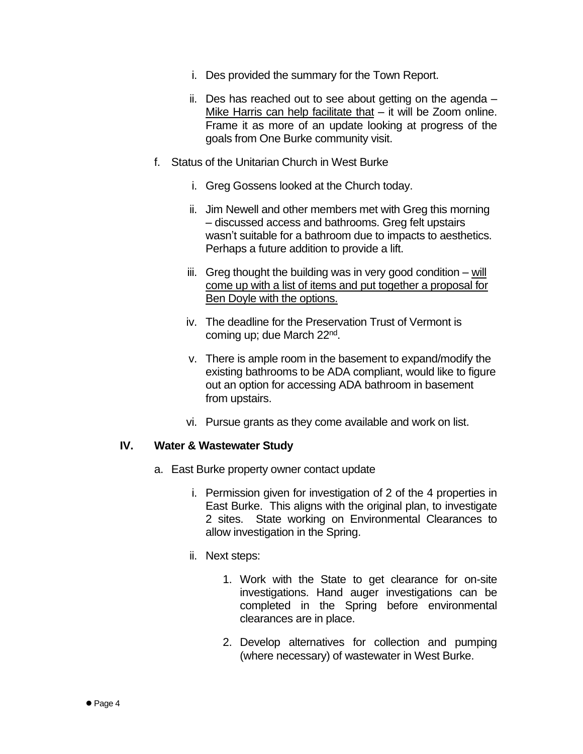- i. Des provided the summary for the Town Report.
- ii. Des has reached out to see about getting on the agenda Mike Harris can help facilitate that – it will be Zoom online. Frame it as more of an update looking at progress of the goals from One Burke community visit.
- f. Status of the Unitarian Church in West Burke
	- i. Greg Gossens looked at the Church today.
	- ii. Jim Newell and other members met with Greg this morning – discussed access and bathrooms. Greg felt upstairs wasn't suitable for a bathroom due to impacts to aesthetics. Perhaps a future addition to provide a lift.
	- iii. Greg thought the building was in very good condition will come up with a list of items and put together a proposal for Ben Doyle with the options.
	- iv. The deadline for the Preservation Trust of Vermont is coming up; due March 22<sup>nd</sup>.
	- v. There is ample room in the basement to expand/modify the existing bathrooms to be ADA compliant, would like to figure out an option for accessing ADA bathroom in basement from upstairs.
	- vi. Pursue grants as they come available and work on list.

## **IV. Water & Wastewater Study**

- a. East Burke property owner contact update
	- i. Permission given for investigation of 2 of the 4 properties in East Burke. This aligns with the original plan, to investigate 2 sites. State working on Environmental Clearances to allow investigation in the Spring.
	- ii. Next steps:
		- 1. Work with the State to get clearance for on-site investigations. Hand auger investigations can be completed in the Spring before environmental clearances are in place.
		- 2. Develop alternatives for collection and pumping (where necessary) of wastewater in West Burke.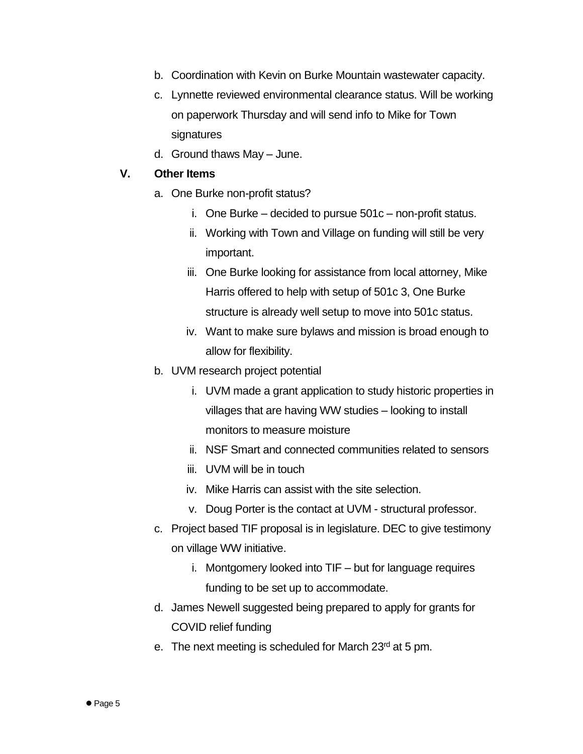- b. Coordination with Kevin on Burke Mountain wastewater capacity.
- c. Lynnette reviewed environmental clearance status. Will be working on paperwork Thursday and will send info to Mike for Town signatures
- d. Ground thaws May June.

## **V. Other Items**

- a. One Burke non-profit status?
	- i. One Burke decided to pursue 501c non-profit status.
	- ii. Working with Town and Village on funding will still be very important.
	- iii. One Burke looking for assistance from local attorney, Mike Harris offered to help with setup of 501c 3, One Burke structure is already well setup to move into 501c status.
	- iv. Want to make sure bylaws and mission is broad enough to allow for flexibility.
- b. UVM research project potential
	- i. UVM made a grant application to study historic properties in villages that are having WW studies – looking to install monitors to measure moisture
	- ii. NSF Smart and connected communities related to sensors
	- iii. UVM will be in touch
	- iv. Mike Harris can assist with the site selection.
	- v. Doug Porter is the contact at UVM structural professor.
- c. Project based TIF proposal is in legislature. DEC to give testimony on village WW initiative.
	- i. Montgomery looked into TIF but for language requires funding to be set up to accommodate.
- d. James Newell suggested being prepared to apply for grants for COVID relief funding
- e. The next meeting is scheduled for March 23rd at 5 pm.